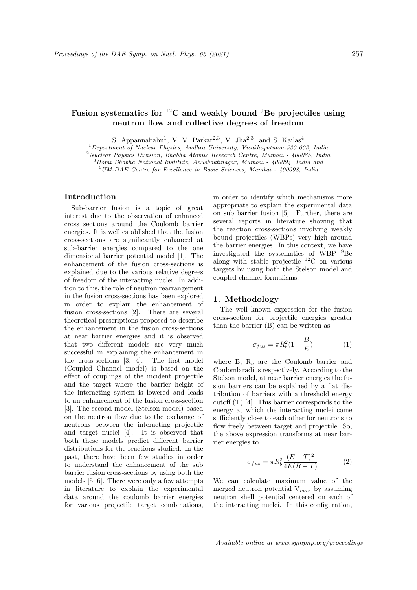# Fusion systematics for  ${}^{12}$ C and weakly bound  ${}^{9}$ Be projectiles using neutron flow and collective degrees of freedom

S. Appannababu<sup>1</sup>, V. V. Parkar<sup>2,3</sup>, V. Jha<sup>2,3</sup>, and S. Kailas<sup>4</sup>

<sup>1</sup>Department of Nuclear Physics, Andhra University, Visakhapatnam-530 003, India

<sup>2</sup>Nuclear Physics Division, Bhabha Atomic Research Centre, Mumbai - 400085, India

 $3$ Homi Bhabha National Institute, Anushaktinagar, Mumbai -  $400094$ , India and

<sup>4</sup>UM-DAE Centre for Excellence in Basic Sciences, Mumbai - 400098, India

## Introduction

Sub-barrier fusion is a topic of great interest due to the observation of enhanced cross sections around the Coulomb barrier energies. It is well established that the fusion cross-sections are significantly enhanced at sub-barrier energies compared to the one dimensional barrier potential model [1]. The enhancement of the fusion cross-sections is explained due to the various relative degrees of freedom of the interacting nuclei. In addition to this, the role of neutron rearrangement in the fusion cross-sections has been explored in order to explain the enhancement of fusion cross-sections [2]. There are several theoretical prescriptions proposed to describe the enhancement in the fusion cross-sections at near barrier energies and it is observed that two different models are very much successful in explaining the enhancement in the cross-sections [3, 4]. The first model (Coupled Channel model) is based on the effect of couplings of the incident projectile and the target where the barrier height of the interacting system is lowered and leads to an enhancement of the fusion cross-section [3]. The second model (Stelson model) based on the neutron flow due to the exchange of neutrons between the interacting projectile and target nuclei [4]. It is observed that both these models predict different barrier distributions for the reactions studied. In the past, there have been few studies in order to understand the enhancement of the sub barrier fusion cross-sections by using both the models [5, 6]. There were only a few attempts in literature to explain the experimental data around the coulomb barrier energies for various projectile target combinations,

in order to identify which mechanisms more appropriate to explain the experimental data on sub barrier fusion [5]. Further, there are several reports in literature showing that the reaction cross-sections involving weakly bound projectiles (WBPs) very high around the barrier energies. In this context, we have investigated the systematics of WBP <sup>9</sup>Be along with stable projectile  $^{12}$ C on various targets by using both the Stelson model and coupled channel formalisms.

### 1. Methodology

The well known expression for the fusion cross-section for projectile energies greater than the barrier (B) can be written as

$$
\sigma_{fus} = \pi R_b^2 (1 - \frac{B}{E}) \tag{1}
$$

where B,  $R_b$  are the Coulomb barrier and Coulomb radius respectively. According to the Stelson model, at near barrier energies the fusion barriers can be explained by a flat distribution of barriers with a threshold energy cutoff (T) [4]. This barrier corresponds to the energy at which the interacting nuclei come sufficiently close to each other for neutrons to flow freely between target and projectile. So, the above expression transforms at near barrier energies to

$$
\sigma_{fus} = \pi R_b^2 \frac{(E - T)^2}{4E(B - T)}\tag{2}
$$

We can calculate maximum value of the merged neutron potential  $V_{max}$  by assuming neutron shell potential centered on each of the interacting nuclei. In this configuration,

Available online at www.sympnp.org/proceedings